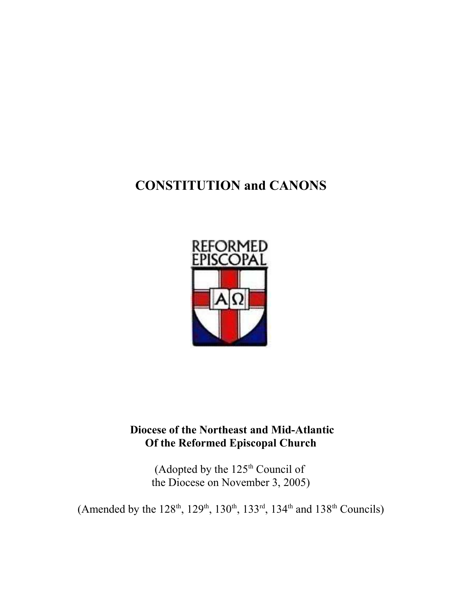# **CONSTITUTION and CANONS**



## **Diocese of the Northeast and Mid-Atlantic Of the Reformed Episcopal Church**

(Adopted by the 125th Council of the Diocese on November 3, 2005)

(Amended by the  $128^{th}$ ,  $129^{th}$ ,  $130^{th}$ ,  $133^{rd}$ ,  $134^{th}$  and  $138^{th}$  Councils)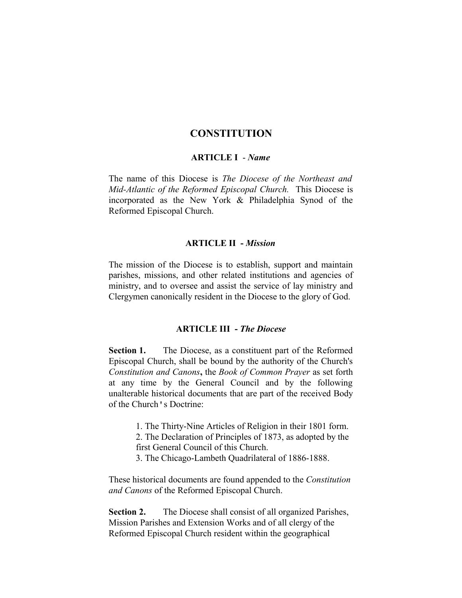## **CONSTITUTION**

#### **ARTICLE I** - *Name*

The name of this Diocese is *The Diocese of the Northeast and Mid-Atlantic of the Reformed Episcopal Church.* This Diocese is incorporated as the New York & Philadelphia Synod of the Reformed Episcopal Church.

#### **ARTICLE II -** *Mission*

The mission of the Diocese is to establish, support and maintain parishes, missions, and other related institutions and agencies of ministry, and to oversee and assist the service of lay ministry and Clergymen canonically resident in the Diocese to the glory of God.

#### **ARTICLE III -** *The Diocese*

**Section 1.** The Diocese, as a constituent part of the Reformed Episcopal Church, shall be bound by the authority of the Church's *Constitution and Canons***,** the *Book of Common Prayer* as set forth at any time by the General Council and by the following unalterable historical documents that are part of the received Body of the Church's Doctrine:

- 1. The Thirty-Nine Articles of Religion in their 1801 form.
- 2. The Declaration of Principles of 1873, as adopted by the first General Council of this Church.
- 3. The Chicago-Lambeth Quadrilateral of 1886-1888.

These historical documents are found appended to the *Constitution and Canons* of the Reformed Episcopal Church.

**Section 2.** The Diocese shall consist of all organized Parishes, Mission Parishes and Extension Works and of all clergy of the Reformed Episcopal Church resident within the geographical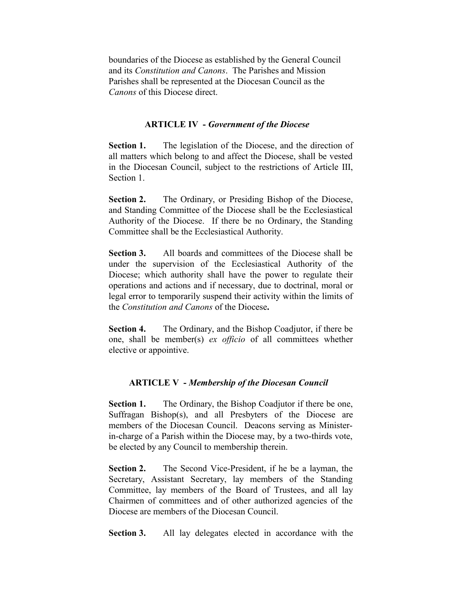boundaries of the Diocese as established by the General Council and its *Constitution and Canons*. The Parishes and Mission Parishes shall be represented at the Diocesan Council as the *Canons* of this Diocese direct.

#### **ARTICLE IV -** *Government of the Diocese*

**Section 1.** The legislation of the Diocese, and the direction of all matters which belong to and affect the Diocese, shall be vested in the Diocesan Council, subject to the restrictions of Article III, Section 1.

**Section 2.** The Ordinary, or Presiding Bishop of the Diocese, and Standing Committee of the Diocese shall be the Ecclesiastical Authority of the Diocese. If there be no Ordinary, the Standing Committee shall be the Ecclesiastical Authority.

**Section 3.** All boards and committees of the Diocese shall be under the supervision of the Ecclesiastical Authority of the Diocese; which authority shall have the power to regulate their operations and actions and if necessary, due to doctrinal, moral or legal error to temporarily suspend their activity within the limits of the *Constitution and Canons* of the Diocese**.** 

**Section 4.** The Ordinary, and the Bishop Coadjutor, if there be one, shall be member(s) *ex officio* of all committees whether elective or appointive.

### **ARTICLE V -** *Membership of the Diocesan Council*

**Section 1.** The Ordinary, the Bishop Coadjutor if there be one, Suffragan Bishop(s), and all Presbyters of the Diocese are members of the Diocesan Council. Deacons serving as Ministerin-charge of a Parish within the Diocese may, by a two-thirds vote, be elected by any Council to membership therein.

**Section 2.** The Second Vice-President, if he be a layman, the Secretary, Assistant Secretary, lay members of the Standing Committee, lay members of the Board of Trustees, and all lay Chairmen of committees and of other authorized agencies of the Diocese are members of the Diocesan Council.

**Section 3.** All lay delegates elected in accordance with the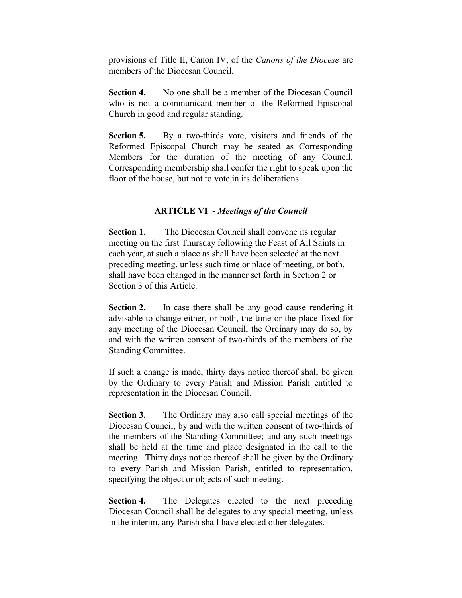provisions of Title II, Canon IV, of the *Canons of the Diocese* are members of the Diocesan Council**.** 

**Section 4.** No one shall be a member of the Diocesan Council who is not a communicant member of the Reformed Episcopal Church in good and regular standing.

**Section 5.** By a two-thirds vote, visitors and friends of the Reformed Episcopal Church may be seated as Corresponding Members for the duration of the meeting of any Council. Corresponding membership shall confer the right to speak upon the floor of the house, but not to vote in its deliberations.

## **ARTICLE VI -** *Meetings of the Council*

**Section 1.** The Diocesan Council shall convene its regular meeting on the first Thursday following the Feast of All Saints in each year, at such a place as shall have been selected at the next preceding meeting, unless such time or place of meeting, or both, shall have been changed in the manner set forth in Section 2 or Section 3 of this Article.

**Section 2.** In case there shall be any good cause rendering it advisable to change either, or both, the time or the place fixed for any meeting of the Diocesan Council, the Ordinary may do so, by and with the written consent of two-thirds of the members of the Standing Committee.

If such a change is made, thirty days notice thereof shall be given by the Ordinary to every Parish and Mission Parish entitled to representation in the Diocesan Council.

**Section 3.** The Ordinary may also call special meetings of the Diocesan Council, by and with the written consent of two-thirds of the members of the Standing Committee; and any such meetings shall be held at the time and place designated in the call to the meeting. Thirty days notice thereof shall be given by the Ordinary to every Parish and Mission Parish, entitled to representation, specifying the object or objects of such meeting.

**Section 4.** The Delegates elected to the next preceding Diocesan Council shall be delegates to any special meeting, unless in the interim, any Parish shall have elected other delegates.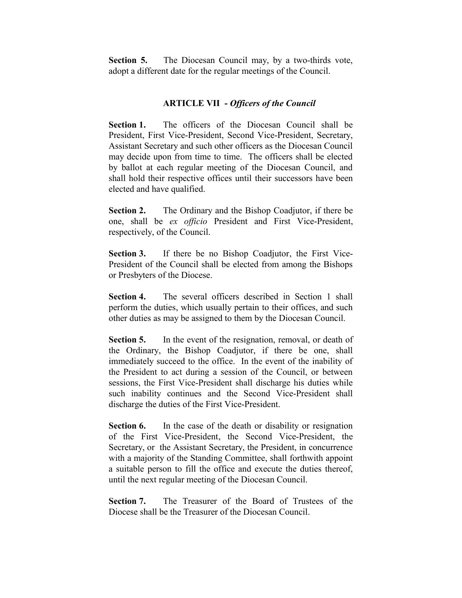**Section 5.** The Diocesan Council may, by a two-thirds vote, adopt a different date for the regular meetings of the Council.

## **ARTICLE VII -** *Officers of the Council*

Section 1. The officers of the Diocesan Council shall be President, First Vice-President, Second Vice-President, Secretary, Assistant Secretary and such other officers as the Diocesan Council may decide upon from time to time. The officers shall be elected by ballot at each regular meeting of the Diocesan Council, and shall hold their respective offices until their successors have been elected and have qualified.

**Section 2.** The Ordinary and the Bishop Coadjutor, if there be one, shall be *ex officio* President and First Vice-President, respectively, of the Council.

**Section 3.** If there be no Bishop Coadjutor, the First Vice-President of the Council shall be elected from among the Bishops or Presbyters of the Diocese.

**Section 4.** The several officers described in Section 1 shall perform the duties, which usually pertain to their offices, and such other duties as may be assigned to them by the Diocesan Council.

**Section 5.** In the event of the resignation, removal, or death of the Ordinary, the Bishop Coadjutor, if there be one, shall immediately succeed to the office. In the event of the inability of the President to act during a session of the Council, or between sessions, the First Vice-President shall discharge his duties while such inability continues and the Second Vice-President shall discharge the duties of the First Vice-President.

**Section 6.** In the case of the death or disability or resignation of the First Vice-President, the Second Vice-President, the Secretary, or the Assistant Secretary, the President, in concurrence with a majority of the Standing Committee, shall forthwith appoint a suitable person to fill the office and execute the duties thereof, until the next regular meeting of the Diocesan Council.

**Section 7.** The Treasurer of the Board of Trustees of the Diocese shall be the Treasurer of the Diocesan Council.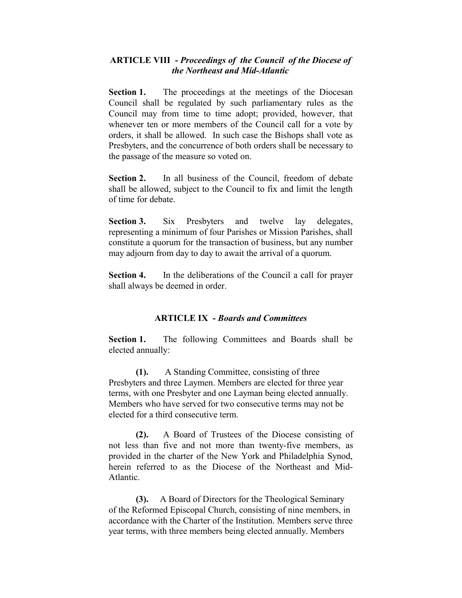## **ARTICLE VIII -** *Proceedings of the Council of the Diocese of the Northeast and Mid-Atlantic*

**Section 1.** The proceedings at the meetings of the Diocesan Council shall be regulated by such parliamentary rules as the Council may from time to time adopt; provided, however, that whenever ten or more members of the Council call for a vote by orders, it shall be allowed. In such case the Bishops shall vote as Presbyters, and the concurrence of both orders shall be necessary to the passage of the measure so voted on.

**Section 2.** In all business of the Council, freedom of debate shall be allowed, subject to the Council to fix and limit the length of time for debate.

Section 3. Six Presbyters and twelve lay delegates, representing a minimum of four Parishes or Mission Parishes, shall constitute a quorum for the transaction of business, but any number may adjourn from day to day to await the arrival of a quorum.

**Section 4.** In the deliberations of the Council a call for prayer shall always be deemed in order.

## **ARTICLE IX -** *Boards and Committees*

Section 1. The following Committees and Boards shall be elected annually:

**(1).** A Standing Committee, consisting of three Presbyters and three Laymen. Members are elected for three year terms, with one Presbyter and one Layman being elected annually. Members who have served for two consecutive terms may not be elected for a third consecutive term.

**(2).** A Board of Trustees of the Diocese consisting of not less than five and not more than twenty-five members, as provided in the charter of the New York and Philadelphia Synod, herein referred to as the Diocese of the Northeast and Mid-Atlantic.

**(3).** A Board of Directors for the Theological Seminary of the Reformed Episcopal Church, consisting of nine members, in accordance with the Charter of the Institution. Members serve three year terms, with three members being elected annually. Members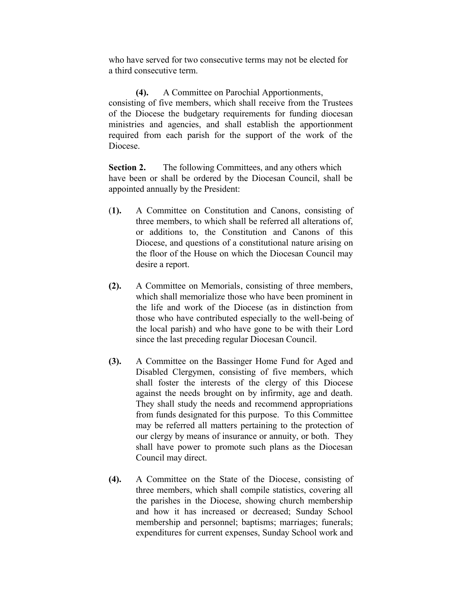who have served for two consecutive terms may not be elected for a third consecutive term.

**(4).** A Committee on Parochial Apportionments, consisting of five members, which shall receive from the Trustees of the Diocese the budgetary requirements for funding diocesan ministries and agencies, and shall establish the apportionment required from each parish for the support of the work of the Diocese.

**Section 2.** The following Committees, and any others which have been or shall be ordered by the Diocesan Council, shall be appointed annually by the President:

- (**1).** A Committee on Constitution and Canons, consisting of three members, to which shall be referred all alterations of, or additions to, the Constitution and Canons of this Diocese, and questions of a constitutional nature arising on the floor of the House on which the Diocesan Council may desire a report.
- **(2).** A Committee on Memorials, consisting of three members, which shall memorialize those who have been prominent in the life and work of the Diocese (as in distinction from those who have contributed especially to the well-being of the local parish) and who have gone to be with their Lord since the last preceding regular Diocesan Council.
- **(3).** A Committee on the Bassinger Home Fund for Aged and Disabled Clergymen, consisting of five members, which shall foster the interests of the clergy of this Diocese against the needs brought on by infirmity, age and death. They shall study the needs and recommend appropriations from funds designated for this purpose. To this Committee may be referred all matters pertaining to the protection of our clergy by means of insurance or annuity, or both. They shall have power to promote such plans as the Diocesan Council may direct.
- **(4).** A Committee on the State of the Diocese, consisting of three members, which shall compile statistics, covering all the parishes in the Diocese, showing church membership and how it has increased or decreased; Sunday School membership and personnel; baptisms; marriages; funerals; expenditures for current expenses, Sunday School work and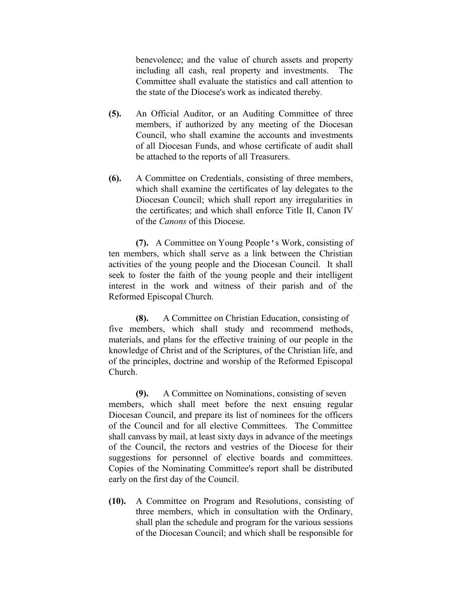benevolence; and the value of church assets and property including all cash, real property and investments. The Committee shall evaluate the statistics and call attention to the state of the Diocese's work as indicated thereby.

- **(5).** An Official Auditor, or an Auditing Committee of three members, if authorized by any meeting of the Diocesan Council, who shall examine the accounts and investments of all Diocesan Funds, and whose certificate of audit shall be attached to the reports of all Treasurers.
- **(6).** A Committee on Credentials, consisting of three members, which shall examine the certificates of lay delegates to the Diocesan Council; which shall report any irregularities in the certificates; and which shall enforce Title II, Canon IV of the *Canons* of this Diocese.

**(7).** A Committee on Young People's Work, consisting of ten members, which shall serve as a link between the Christian activities of the young people and the Diocesan Council. It shall seek to foster the faith of the young people and their intelligent interest in the work and witness of their parish and of the Reformed Episcopal Church.

**(8).** A Committee on Christian Education, consisting of five members, which shall study and recommend methods, materials, and plans for the effective training of our people in the knowledge of Christ and of the Scriptures, of the Christian life, and of the principles, doctrine and worship of the Reformed Episcopal Church.

**(9).** A Committee on Nominations, consisting of seven members, which shall meet before the next ensuing regular Diocesan Council, and prepare its list of nominees for the officers of the Council and for all elective Committees. The Committee shall canvass by mail, at least sixty days in advance of the meetings of the Council, the rectors and vestries of the Diocese for their suggestions for personnel of elective boards and committees. Copies of the Nominating Committee's report shall be distributed early on the first day of the Council.

**(10).** A Committee on Program and Resolutions, consisting of three members, which in consultation with the Ordinary, shall plan the schedule and program for the various sessions of the Diocesan Council; and which shall be responsible for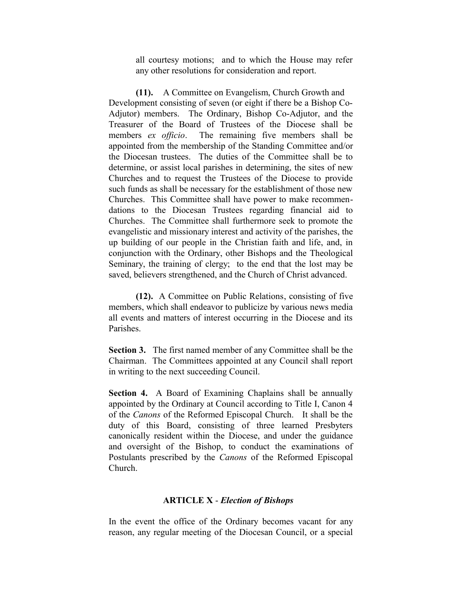all courtesy motions; and to which the House may refer any other resolutions for consideration and report.

**(11).** A Committee on Evangelism, Church Growth and Development consisting of seven (or eight if there be a Bishop Co-Adjutor) members. The Ordinary, Bishop Co-Adjutor, and the Treasurer of the Board of Trustees of the Diocese shall be members *ex officio*. The remaining five members shall be appointed from the membership of the Standing Committee and/or the Diocesan trustees. The duties of the Committee shall be to determine, or assist local parishes in determining, the sites of new Churches and to request the Trustees of the Diocese to provide such funds as shall be necessary for the establishment of those new Churches. This Committee shall have power to make recommendations to the Diocesan Trustees regarding financial aid to Churches. The Committee shall furthermore seek to promote the evangelistic and missionary interest and activity of the parishes, the up building of our people in the Christian faith and life, and, in conjunction with the Ordinary, other Bishops and the Theological Seminary, the training of clergy; to the end that the lost may be saved, believers strengthened, and the Church of Christ advanced.

**(12).** A Committee on Public Relations, consisting of five members, which shall endeavor to publicize by various news media all events and matters of interest occurring in the Diocese and its Parishes.

**Section 3.** The first named member of any Committee shall be the Chairman. The Committees appointed at any Council shall report in writing to the next succeeding Council.

**Section 4.** A Board of Examining Chaplains shall be annually appointed by the Ordinary at Council according to Title I, Canon 4 of the *Canons* of the Reformed Episcopal Church. It shall be the duty of this Board, consisting of three learned Presbyters canonically resident within the Diocese, and under the guidance and oversight of the Bishop, to conduct the examinations of Postulants prescribed by the *Canons* of the Reformed Episcopal Church.

#### **ARTICLE X** - *Election of Bishops*

In the event the office of the Ordinary becomes vacant for any reason, any regular meeting of the Diocesan Council, or a special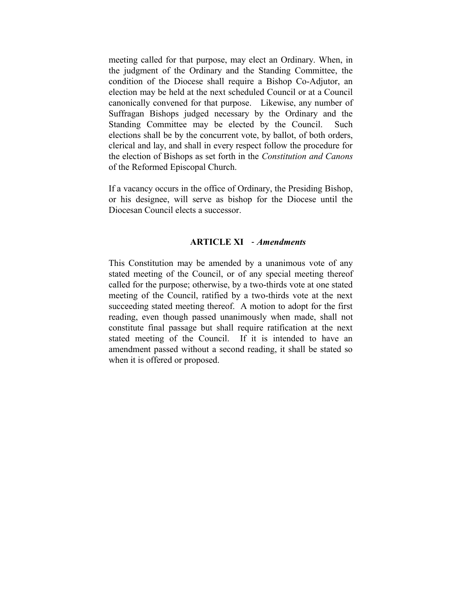meeting called for that purpose, may elect an Ordinary. When, in the judgment of the Ordinary and the Standing Committee, the condition of the Diocese shall require a Bishop Co-Adjutor, an election may be held at the next scheduled Council or at a Council canonically convened for that purpose. Likewise, any number of Suffragan Bishops judged necessary by the Ordinary and the Standing Committee may be elected by the Council. Such elections shall be by the concurrent vote, by ballot, of both orders, clerical and lay, and shall in every respect follow the procedure for the election of Bishops as set forth in the *Constitution and Canons* of the Reformed Episcopal Church.

If a vacancy occurs in the office of Ordinary, the Presiding Bishop, or his designee, will serve as bishop for the Diocese until the Diocesan Council elects a successor.

#### **ARTICLE XI** - *Amendments*

This Constitution may be amended by a unanimous vote of any stated meeting of the Council, or of any special meeting thereof called for the purpose; otherwise, by a two-thirds vote at one stated meeting of the Council, ratified by a two-thirds vote at the next succeeding stated meeting thereof. A motion to adopt for the first reading, even though passed unanimously when made, shall not constitute final passage but shall require ratification at the next stated meeting of the Council. If it is intended to have an amendment passed without a second reading, it shall be stated so when it is offered or proposed.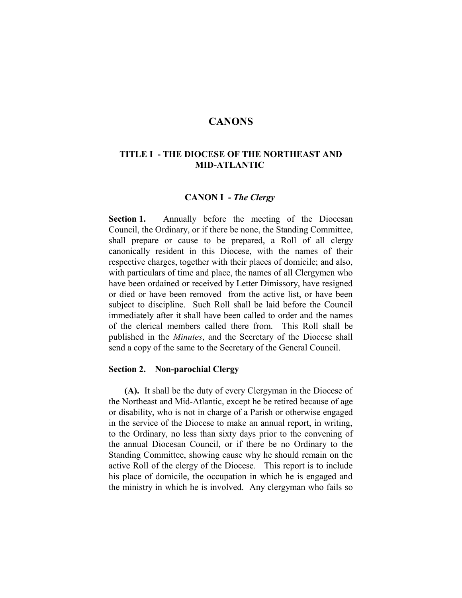## **CANONS**

## **TITLE I - THE DIOCESE OF THE NORTHEAST AND MID-ATLANTIC**

#### **CANON I -** *The Clergy*

**Section 1.** Annually before the meeting of the Diocesan Council, the Ordinary, or if there be none, the Standing Committee, shall prepare or cause to be prepared, a Roll of all clergy canonically resident in this Diocese, with the names of their respective charges, together with their places of domicile; and also, with particulars of time and place, the names of all Clergymen who have been ordained or received by Letter Dimissory, have resigned or died or have been removed from the active list, or have been subject to discipline. Such Roll shall be laid before the Council immediately after it shall have been called to order and the names of the clerical members called there from. This Roll shall be published in the *Minutes*, and the Secretary of the Diocese shall send a copy of the same to the Secretary of the General Council.

#### **Section 2. Non-parochial Clergy**

 **(A).** It shall be the duty of every Clergyman in the Diocese of the Northeast and Mid-Atlantic, except he be retired because of age or disability, who is not in charge of a Parish or otherwise engaged in the service of the Diocese to make an annual report, in writing, to the Ordinary, no less than sixty days prior to the convening of the annual Diocesan Council, or if there be no Ordinary to the Standing Committee, showing cause why he should remain on the active Roll of the clergy of the Diocese. This report is to include his place of domicile, the occupation in which he is engaged and the ministry in which he is involved. Any clergyman who fails so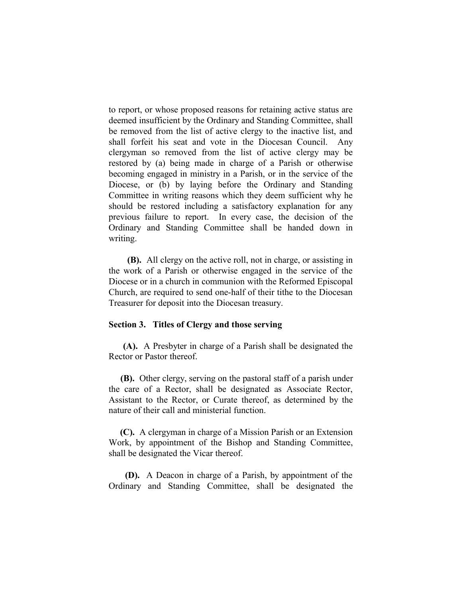to report, or whose proposed reasons for retaining active status are deemed insufficient by the Ordinary and Standing Committee, shall be removed from the list of active clergy to the inactive list, and shall forfeit his seat and vote in the Diocesan Council. Any clergyman so removed from the list of active clergy may be restored by (a) being made in charge of a Parish or otherwise becoming engaged in ministry in a Parish, or in the service of the Diocese, or (b) by laying before the Ordinary and Standing Committee in writing reasons which they deem sufficient why he should be restored including a satisfactory explanation for any previous failure to report. In every case, the decision of the Ordinary and Standing Committee shall be handed down in writing.

 **(B).** All clergy on the active roll, not in charge, or assisting in the work of a Parish or otherwise engaged in the service of the Diocese or in a church in communion with the Reformed Episcopal Church, are required to send one-half of their tithe to the Diocesan Treasurer for deposit into the Diocesan treasury.

#### **Section 3. Titles of Clergy and those serving**

 **(A).** A Presbyter in charge of a Parish shall be designated the Rector or Pastor thereof.

 **(B).** Other clergy, serving on the pastoral staff of a parish under the care of a Rector, shall be designated as Associate Rector, Assistant to the Rector, or Curate thereof, as determined by the nature of their call and ministerial function.

 **(C).** A clergyman in charge of a Mission Parish or an Extension Work, by appointment of the Bishop and Standing Committee, shall be designated the Vicar thereof.

 **(D).** A Deacon in charge of a Parish, by appointment of the Ordinary and Standing Committee, shall be designated the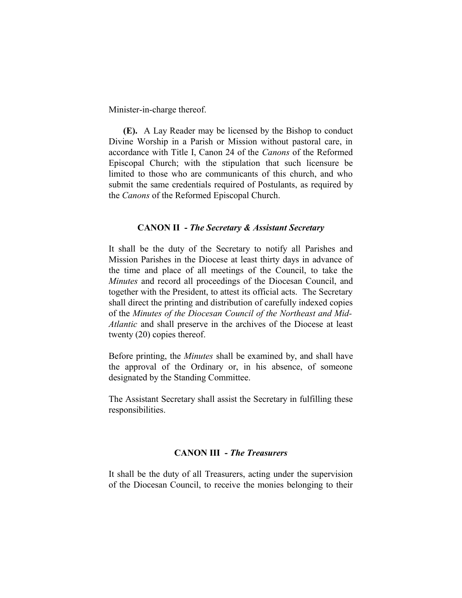Minister-in-charge thereof.

 **(E).** A Lay Reader may be licensed by the Bishop to conduct Divine Worship in a Parish or Mission without pastoral care, in accordance with Title I, Canon 24 of the *Canons* of the Reformed Episcopal Church; with the stipulation that such licensure be limited to those who are communicants of this church, and who submit the same credentials required of Postulants, as required by the *Canons* of the Reformed Episcopal Church.

#### **CANON II -** *The Secretary & Assistant Secretary*

It shall be the duty of the Secretary to notify all Parishes and Mission Parishes in the Diocese at least thirty days in advance of the time and place of all meetings of the Council, to take the *Minutes* and record all proceedings of the Diocesan Council, and together with the President, to attest its official acts. The Secretary shall direct the printing and distribution of carefully indexed copies of the *Minutes of the Diocesan Council of the Northeast and Mid-Atlantic* and shall preserve in the archives of the Diocese at least twenty (20) copies thereof.

Before printing, the *Minutes* shall be examined by, and shall have the approval of the Ordinary or, in his absence, of someone designated by the Standing Committee.

The Assistant Secretary shall assist the Secretary in fulfilling these responsibilities.

#### **CANON III -** *The Treasurers*

It shall be the duty of all Treasurers, acting under the supervision of the Diocesan Council, to receive the monies belonging to their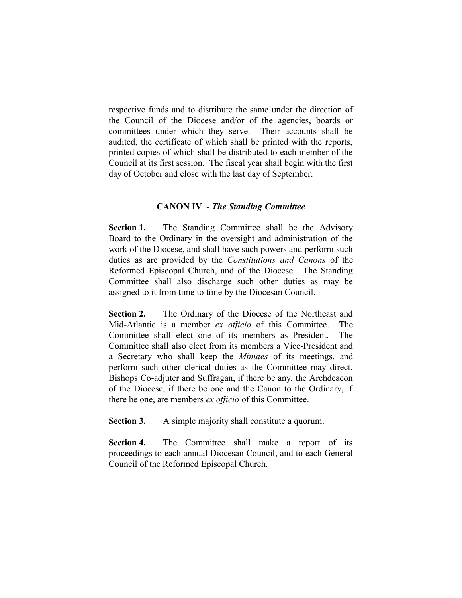respective funds and to distribute the same under the direction of the Council of the Diocese and/or of the agencies, boards or committees under which they serve. Their accounts shall be audited, the certificate of which shall be printed with the reports, printed copies of which shall be distributed to each member of the Council at its first session. The fiscal year shall begin with the first day of October and close with the last day of September.

## **CANON IV -** *The Standing Committee*

**Section 1.** The Standing Committee shall be the Advisory Board to the Ordinary in the oversight and administration of the work of the Diocese, and shall have such powers and perform such duties as are provided by the *Constitutions and Canons* of the Reformed Episcopal Church, and of the Diocese. The Standing Committee shall also discharge such other duties as may be assigned to it from time to time by the Diocesan Council.

**Section 2.** The Ordinary of the Diocese of the Northeast and Mid-Atlantic is a member *ex officio* of this Committee. The Committee shall elect one of its members as President. The Committee shall also elect from its members a Vice-President and a Secretary who shall keep the *Minutes* of its meetings, and perform such other clerical duties as the Committee may direct. Bishops Co-adjuter and Suffragan, if there be any, the Archdeacon of the Diocese, if there be one and the Canon to the Ordinary, if there be one, are members *ex officio* of this Committee.

**Section 3.** A simple majority shall constitute a quorum.

**Section 4.** The Committee shall make a report of its proceedings to each annual Diocesan Council, and to each General Council of the Reformed Episcopal Church.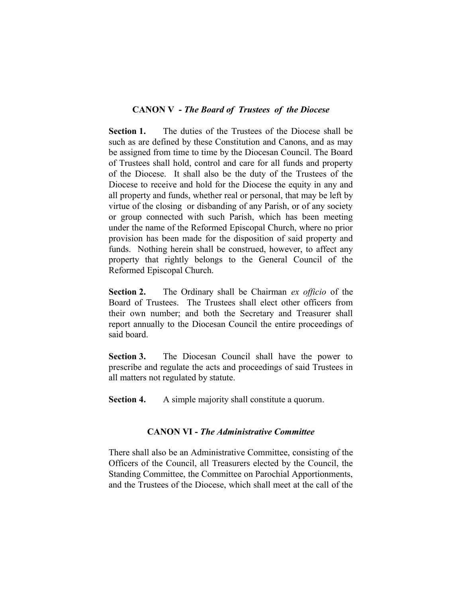#### **CANON V -** *The Board of Trustees of the Diocese*

**Section 1.** The duties of the Trustees of the Diocese shall be such as are defined by these Constitution and Canons, and as may be assigned from time to time by the Diocesan Council. The Board of Trustees shall hold, control and care for all funds and property of the Diocese. It shall also be the duty of the Trustees of the Diocese to receive and hold for the Diocese the equity in any and all property and funds, whether real or personal, that may be left by virtue of the closing or disbanding of any Parish, or of any society or group connected with such Parish, which has been meeting under the name of the Reformed Episcopal Church, where no prior provision has been made for the disposition of said property and funds. Nothing herein shall be construed, however, to affect any property that rightly belongs to the General Council of the Reformed Episcopal Church.

**Section 2.** The Ordinary shall be Chairman *ex officio* of the Board of Trustees. The Trustees shall elect other officers from their own number; and both the Secretary and Treasurer shall report annually to the Diocesan Council the entire proceedings of said board.

**Section 3.** The Diocesan Council shall have the power to prescribe and regulate the acts and proceedings of said Trustees in all matters not regulated by statute.

**Section 4.** A simple majority shall constitute a quorum.

## **CANON VI -** *The Administrative Committee*

There shall also be an Administrative Committee, consisting of the Officers of the Council, all Treasurers elected by the Council, the Standing Committee, the Committee on Parochial Apportionments, and the Trustees of the Diocese, which shall meet at the call of the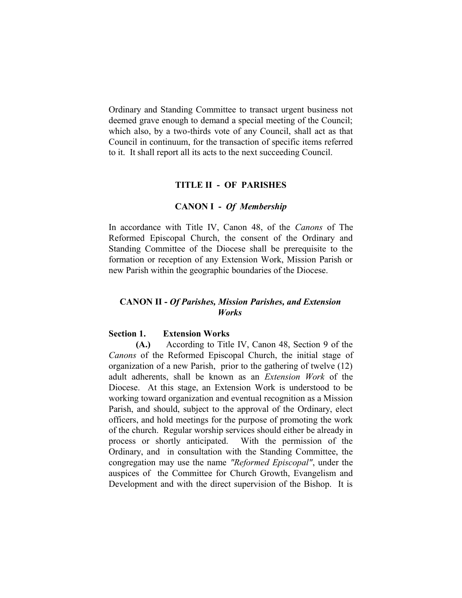Ordinary and Standing Committee to transact urgent business not deemed grave enough to demand a special meeting of the Council; which also, by a two-thirds vote of any Council, shall act as that Council in continuum, for the transaction of specific items referred to it. It shall report all its acts to the next succeeding Council.

#### **TITLE II - OF PARISHES**

#### **CANON I -** *Of Membership*

In accordance with Title IV, Canon 48, of the *Canons* of The Reformed Episcopal Church, the consent of the Ordinary and Standing Committee of the Diocese shall be prerequisite to the formation or reception of any Extension Work, Mission Parish or new Parish within the geographic boundaries of the Diocese.

#### **CANON II -** *Of Parishes, Mission Parishes, and Extension Works*

#### **Section 1. Extension Works**

**(A.)** According to Title IV, Canon 48, Section 9 of the *Canons* of the Reformed Episcopal Church, the initial stage of organization of a new Parish, prior to the gathering of twelve (12) adult adherents, shall be known as an *Extension Work* of the Diocese. At this stage, an Extension Work is understood to be working toward organization and eventual recognition as a Mission Parish, and should, subject to the approval of the Ordinary, elect officers, and hold meetings for the purpose of promoting the work of the church. Regular worship services should either be already in process or shortly anticipated. With the permission of the Ordinary, and in consultation with the Standing Committee, the congregation may use the name *"Reformed Episcopal"*, under the auspices of the Committee for Church Growth, Evangelism and Development and with the direct supervision of the Bishop. It is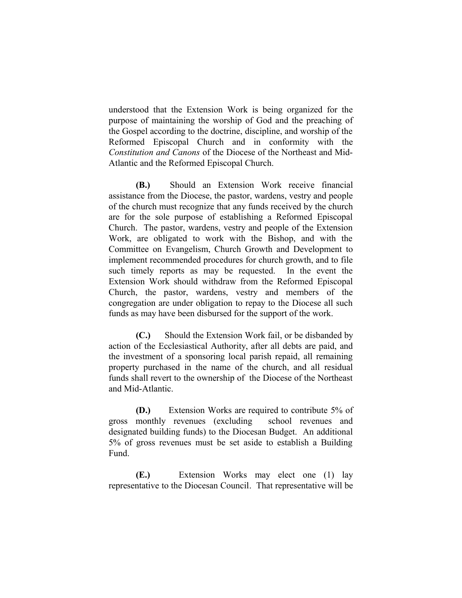understood that the Extension Work is being organized for the purpose of maintaining the worship of God and the preaching of the Gospel according to the doctrine, discipline, and worship of the Reformed Episcopal Church and in conformity with the *Constitution and Canons* of the Diocese of the Northeast and Mid-Atlantic and the Reformed Episcopal Church.

**(B.)** Should an Extension Work receive financial assistance from the Diocese, the pastor, wardens, vestry and people of the church must recognize that any funds received by the church are for the sole purpose of establishing a Reformed Episcopal Church. The pastor, wardens, vestry and people of the Extension Work, are obligated to work with the Bishop, and with the Committee on Evangelism, Church Growth and Development to implement recommended procedures for church growth, and to file such timely reports as may be requested. In the event the Extension Work should withdraw from the Reformed Episcopal Church, the pastor, wardens, vestry and members of the congregation are under obligation to repay to the Diocese all such funds as may have been disbursed for the support of the work.

**(C.)** Should the Extension Work fail, or be disbanded by action of the Ecclesiastical Authority, after all debts are paid, and the investment of a sponsoring local parish repaid, all remaining property purchased in the name of the church, and all residual funds shall revert to the ownership of the Diocese of the Northeast and Mid-Atlantic.

**(D.)** Extension Works are required to contribute 5% of gross monthly revenues (excluding school revenues and designated building funds) to the Diocesan Budget. An additional 5% of gross revenues must be set aside to establish a Building Fund.

**(E.)** Extension Works may elect one (1) lay representative to the Diocesan Council. That representative will be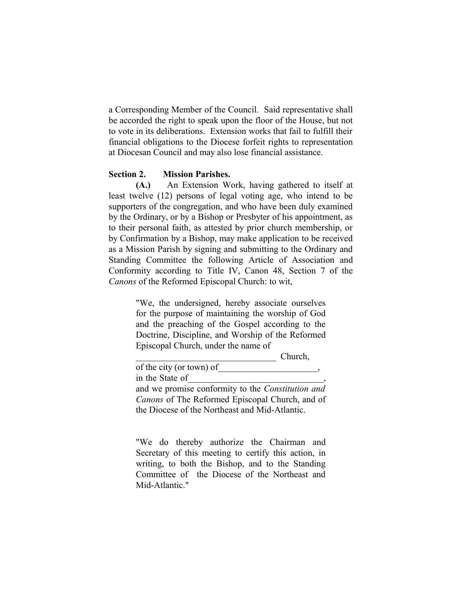a Corresponding Member of the Council. Said representative shall be accorded the right to speak upon the floor of the House, but not to vote in its deliberations. Extension works that fail to fulfill their financial obligations to the Diocese forfeit rights to representation at Diocesan Council and may also lose financial assistance.

#### **Section 2. Mission Parishes.**

**(A.)** An Extension Work, having gathered to itself at least twelve (12) persons of legal voting age, who intend to be supporters of the congregation, and who have been duly examined by the Ordinary, or by a Bishop or Presbyter of his appointment, as to their personal faith, as attested by prior church membership, or by Confirmation by a Bishop, may make application to be received as a Mission Parish by signing and submitting to the Ordinary and Standing Committee the following Article of Association and Conformity according to Title IV, Canon 48, Section 7 of the *Canons* of the Reformed Episcopal Church: to wit,

> "We, the undersigned, hereby associate ourselves for the purpose of maintaining the worship of God and the preaching of the Gospel according to the Doctrine, Discipline, and Worship of the Reformed Episcopal Church, under the name of

> > Church,

of the city (or town) of in the State of and we promise conformity to the *Constitution and Canons* of The Reformed Episcopal Church, and of the Diocese of the Northeast and Mid-Atlantic.

"We do thereby authorize the Chairman and Secretary of this meeting to certify this action, in writing, to both the Bishop, and to the Standing Committee of the Diocese of the Northeast and Mid-Atlantic."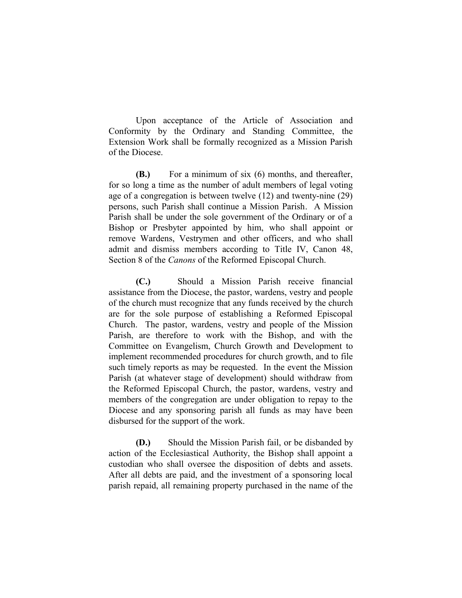Upon acceptance of the Article of Association and Conformity by the Ordinary and Standing Committee, the Extension Work shall be formally recognized as a Mission Parish of the Diocese.

**(B.)** For a minimum of six (6) months, and thereafter, for so long a time as the number of adult members of legal voting age of a congregation is between twelve (12) and twenty-nine (29) persons, such Parish shall continue a Mission Parish. A Mission Parish shall be under the sole government of the Ordinary or of a Bishop or Presbyter appointed by him, who shall appoint or remove Wardens, Vestrymen and other officers, and who shall admit and dismiss members according to Title IV, Canon 48, Section 8 of the *Canons* of the Reformed Episcopal Church.

**(C.)** Should a Mission Parish receive financial assistance from the Diocese, the pastor, wardens, vestry and people of the church must recognize that any funds received by the church are for the sole purpose of establishing a Reformed Episcopal Church. The pastor, wardens, vestry and people of the Mission Parish, are therefore to work with the Bishop, and with the Committee on Evangelism, Church Growth and Development to implement recommended procedures for church growth, and to file such timely reports as may be requested. In the event the Mission Parish (at whatever stage of development) should withdraw from the Reformed Episcopal Church, the pastor, wardens, vestry and members of the congregation are under obligation to repay to the Diocese and any sponsoring parish all funds as may have been disbursed for the support of the work.

**(D.)** Should the Mission Parish fail, or be disbanded by action of the Ecclesiastical Authority, the Bishop shall appoint a custodian who shall oversee the disposition of debts and assets. After all debts are paid, and the investment of a sponsoring local parish repaid, all remaining property purchased in the name of the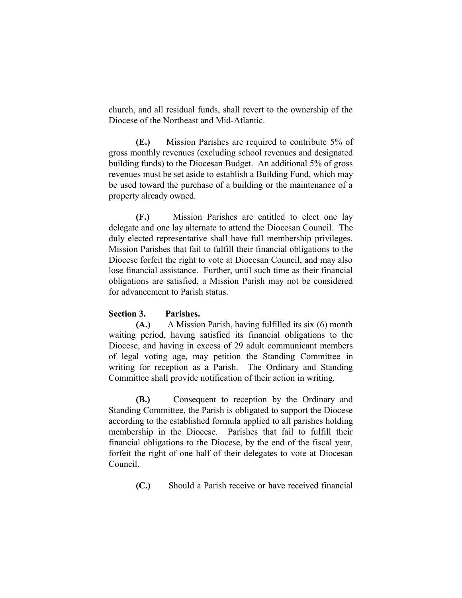church, and all residual funds, shall revert to the ownership of the Diocese of the Northeast and Mid-Atlantic.

**(E.)** Mission Parishes are required to contribute 5% of gross monthly revenues (excluding school revenues and designated building funds) to the Diocesan Budget. An additional 5% of gross revenues must be set aside to establish a Building Fund, which may be used toward the purchase of a building or the maintenance of a property already owned.

**(F.)** Mission Parishes are entitled to elect one lay delegate and one lay alternate to attend the Diocesan Council. The duly elected representative shall have full membership privileges. Mission Parishes that fail to fulfill their financial obligations to the Diocese forfeit the right to vote at Diocesan Council, and may also lose financial assistance. Further, until such time as their financial obligations are satisfied, a Mission Parish may not be considered for advancement to Parish status.

## **Section 3. Parishes.**

**(A.)** A Mission Parish, having fulfilled its six (6) month waiting period, having satisfied its financial obligations to the Diocese, and having in excess of 29 adult communicant members of legal voting age, may petition the Standing Committee in writing for reception as a Parish. The Ordinary and Standing Committee shall provide notification of their action in writing.

**(B.)** Consequent to reception by the Ordinary and Standing Committee, the Parish is obligated to support the Diocese according to the established formula applied to all parishes holding membership in the Diocese. Parishes that fail to fulfill their financial obligations to the Diocese, by the end of the fiscal year, forfeit the right of one half of their delegates to vote at Diocesan Council.

**(C.)** Should a Parish receive or have received financial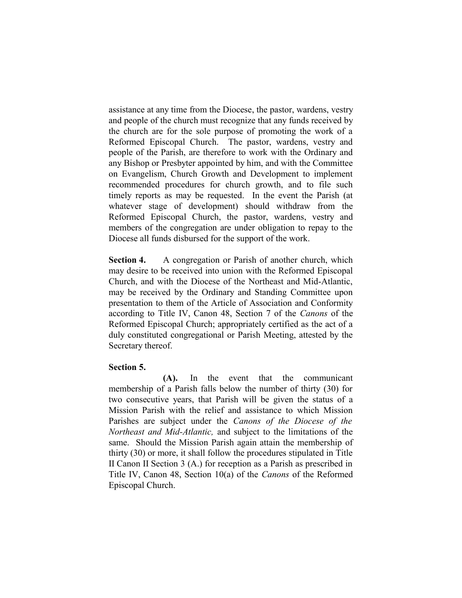assistance at any time from the Diocese, the pastor, wardens, vestry and people of the church must recognize that any funds received by the church are for the sole purpose of promoting the work of a Reformed Episcopal Church. The pastor, wardens, vestry and people of the Parish, are therefore to work with the Ordinary and any Bishop or Presbyter appointed by him, and with the Committee on Evangelism, Church Growth and Development to implement recommended procedures for church growth, and to file such timely reports as may be requested. In the event the Parish (at whatever stage of development) should withdraw from the Reformed Episcopal Church, the pastor, wardens, vestry and members of the congregation are under obligation to repay to the Diocese all funds disbursed for the support of the work.

**Section 4.** A congregation or Parish of another church, which may desire to be received into union with the Reformed Episcopal Church, and with the Diocese of the Northeast and Mid-Atlantic, may be received by the Ordinary and Standing Committee upon presentation to them of the Article of Association and Conformity according to Title IV, Canon 48, Section 7 of the *Canons* of the Reformed Episcopal Church; appropriately certified as the act of a duly constituted congregational or Parish Meeting, attested by the Secretary thereof.

#### **Section 5.**

**(A).** In the event that the communicant membership of a Parish falls below the number of thirty (30) for two consecutive years, that Parish will be given the status of a Mission Parish with the relief and assistance to which Mission Parishes are subject under the *Canons of the Diocese of the Northeast and Mid-Atlantic,* and subject to the limitations of the same. Should the Mission Parish again attain the membership of thirty (30) or more, it shall follow the procedures stipulated in Title II Canon II Section 3 (A.) for reception as a Parish as prescribed in Title IV, Canon 48, Section 10(a) of the *Canons* of the Reformed Episcopal Church.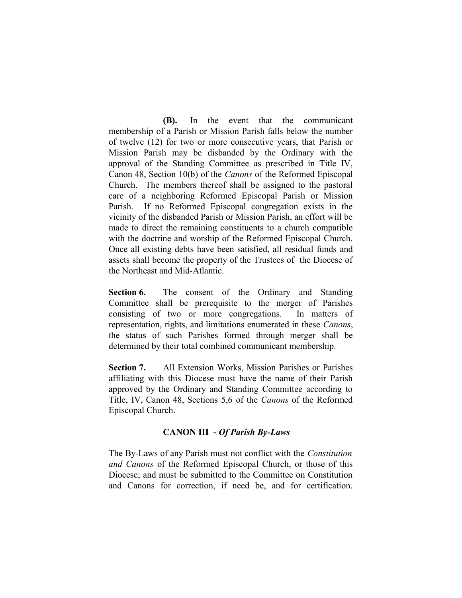**(B).** In the event that the communicant membership of a Parish or Mission Parish falls below the number of twelve (12) for two or more consecutive years, that Parish or Mission Parish may be disbanded by the Ordinary with the approval of the Standing Committee as prescribed in Title IV, Canon 48, Section 10(b) of the *Canons* of the Reformed Episcopal Church. The members thereof shall be assigned to the pastoral care of a neighboring Reformed Episcopal Parish or Mission Parish. If no Reformed Episcopal congregation exists in the vicinity of the disbanded Parish or Mission Parish, an effort will be made to direct the remaining constituents to a church compatible with the doctrine and worship of the Reformed Episcopal Church. Once all existing debts have been satisfied, all residual funds and assets shall become the property of the Trustees of the Diocese of the Northeast and Mid-Atlantic.

**Section 6.** The consent of the Ordinary and Standing Committee shall be prerequisite to the merger of Parishes consisting of two or more congregations. In matters of representation, rights, and limitations enumerated in these *Canons*, the status of such Parishes formed through merger shall be determined by their total combined communicant membership.

**Section 7.** All Extension Works, Mission Parishes or Parishes affiliating with this Diocese must have the name of their Parish approved by the Ordinary and Standing Committee according to Title, IV, Canon 48, Sections 5,6 of the *Canons* of the Reformed Episcopal Church.

## **CANON III -** *Of Parish By-Laws*

The By-Laws of any Parish must not conflict with the *Constitution and Canons* of the Reformed Episcopal Church, or those of this Diocese; and must be submitted to the Committee on Constitution and Canons for correction, if need be, and for certification.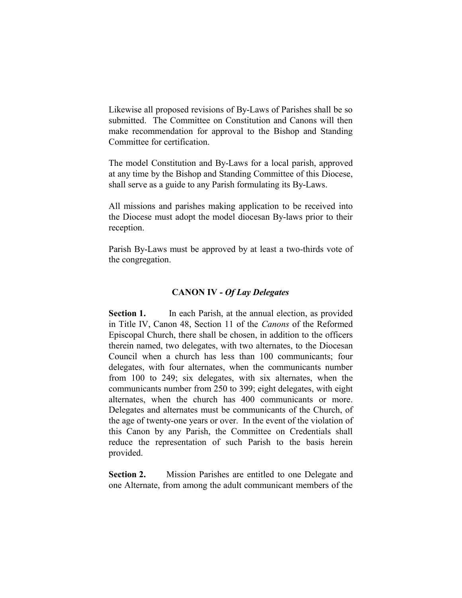Likewise all proposed revisions of By-Laws of Parishes shall be so submitted. The Committee on Constitution and Canons will then make recommendation for approval to the Bishop and Standing Committee for certification.

The model Constitution and By-Laws for a local parish, approved at any time by the Bishop and Standing Committee of this Diocese, shall serve as a guide to any Parish formulating its By-Laws.

All missions and parishes making application to be received into the Diocese must adopt the model diocesan By-laws prior to their reception.

Parish By-Laws must be approved by at least a two-thirds vote of the congregation.

#### **CANON IV** *- Of Lay Delegates*

**Section 1.** In each Parish, at the annual election, as provided in Title IV, Canon 48, Section 11 of the *Canons* of the Reformed Episcopal Church, there shall be chosen, in addition to the officers therein named, two delegates, with two alternates, to the Diocesan Council when a church has less than 100 communicants; four delegates, with four alternates, when the communicants number from 100 to 249; six delegates, with six alternates, when the communicants number from 250 to 399; eight delegates, with eight alternates, when the church has 400 communicants or more. Delegates and alternates must be communicants of the Church, of the age of twenty-one years or over. In the event of the violation of this Canon by any Parish, the Committee on Credentials shall reduce the representation of such Parish to the basis herein provided.

**Section 2.** Mission Parishes are entitled to one Delegate and one Alternate, from among the adult communicant members of the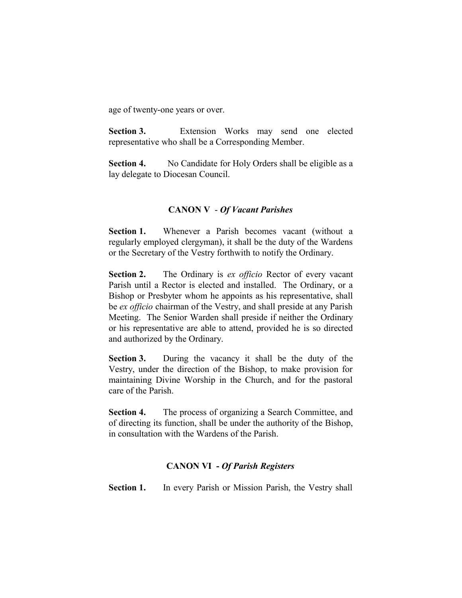age of twenty-one years or over.

**Section 3.** Extension Works may send one elected representative who shall be a Corresponding Member.

**Section 4.** No Candidate for Holy Orders shall be eligible as a lay delegate to Diocesan Council.

## **CANON V** - *Of Vacant Parishes*

**Section 1.** Whenever a Parish becomes vacant (without a regularly employed clergyman), it shall be the duty of the Wardens or the Secretary of the Vestry forthwith to notify the Ordinary.

**Section 2.** The Ordinary is *ex officio* Rector of every vacant Parish until a Rector is elected and installed. The Ordinary, or a Bishop or Presbyter whom he appoints as his representative, shall be *ex officio* chairman of the Vestry, and shall preside at any Parish Meeting. The Senior Warden shall preside if neither the Ordinary or his representative are able to attend, provided he is so directed and authorized by the Ordinary.

**Section 3.** During the vacancy it shall be the duty of the Vestry, under the direction of the Bishop, to make provision for maintaining Divine Worship in the Church, and for the pastoral care of the Parish.

**Section 4.** The process of organizing a Search Committee, and of directing its function, shall be under the authority of the Bishop, in consultation with the Wardens of the Parish.

## **CANON VI -** *Of Parish Registers*

**Section 1.** In every Parish or Mission Parish, the Vestry shall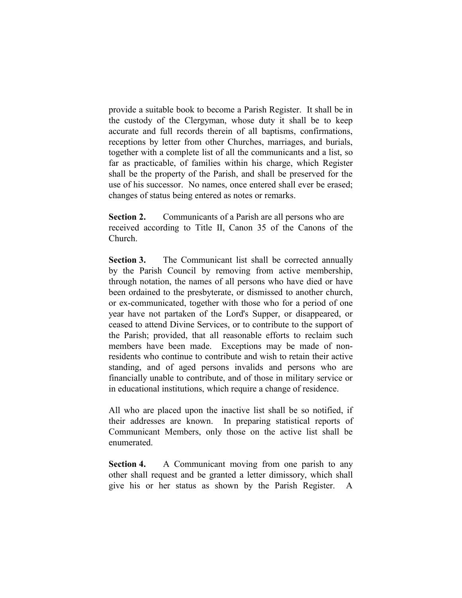provide a suitable book to become a Parish Register. It shall be in the custody of the Clergyman, whose duty it shall be to keep accurate and full records therein of all baptisms, confirmations, receptions by letter from other Churches, marriages, and burials, together with a complete list of all the communicants and a list, so far as practicable, of families within his charge, which Register shall be the property of the Parish, and shall be preserved for the use of his successor. No names, once entered shall ever be erased; changes of status being entered as notes or remarks.

**Section 2.** Communicants of a Parish are all persons who are received according to Title II, Canon 35 of the Canons of the Church.

Section 3. The Communicant list shall be corrected annually by the Parish Council by removing from active membership, through notation, the names of all persons who have died or have been ordained to the presbyterate, or dismissed to another church, or ex-communicated, together with those who for a period of one year have not partaken of the Lord's Supper, or disappeared, or ceased to attend Divine Services, or to contribute to the support of the Parish; provided, that all reasonable efforts to reclaim such members have been made. Exceptions may be made of nonresidents who continue to contribute and wish to retain their active standing, and of aged persons invalids and persons who are financially unable to contribute, and of those in military service or in educational institutions, which require a change of residence.

All who are placed upon the inactive list shall be so notified, if their addresses are known. In preparing statistical reports of Communicant Members, only those on the active list shall be enumerated.

**Section 4.** A Communicant moving from one parish to any other shall request and be granted a letter dimissory, which shall give his or her status as shown by the Parish Register.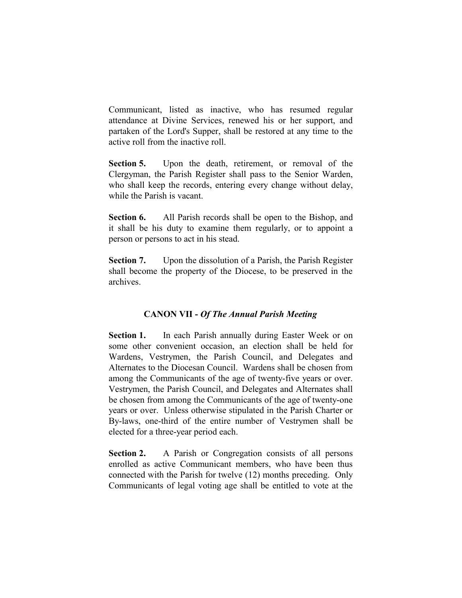Communicant, listed as inactive, who has resumed regular attendance at Divine Services, renewed his or her support, and partaken of the Lord's Supper, shall be restored at any time to the active roll from the inactive roll.

**Section 5.** Upon the death, retirement, or removal of the Clergyman, the Parish Register shall pass to the Senior Warden, who shall keep the records, entering every change without delay, while the Parish is vacant.

**Section 6.** All Parish records shall be open to the Bishop, and it shall be his duty to examine them regularly, or to appoint a person or persons to act in his stead.

**Section 7.** Upon the dissolution of a Parish, the Parish Register shall become the property of the Diocese, to be preserved in the archives.

## **CANON VII -** *Of The Annual Parish Meeting*

**Section 1.** In each Parish annually during Easter Week or on some other convenient occasion, an election shall be held for Wardens, Vestrymen, the Parish Council, and Delegates and Alternates to the Diocesan Council. Wardens shall be chosen from among the Communicants of the age of twenty-five years or over. Vestrymen, the Parish Council, and Delegates and Alternates shall be chosen from among the Communicants of the age of twenty-one years or over. Unless otherwise stipulated in the Parish Charter or By-laws, one-third of the entire number of Vestrymen shall be elected for a three-year period each.

**Section 2.** A Parish or Congregation consists of all persons enrolled as active Communicant members, who have been thus connected with the Parish for twelve (12) months preceding. Only Communicants of legal voting age shall be entitled to vote at the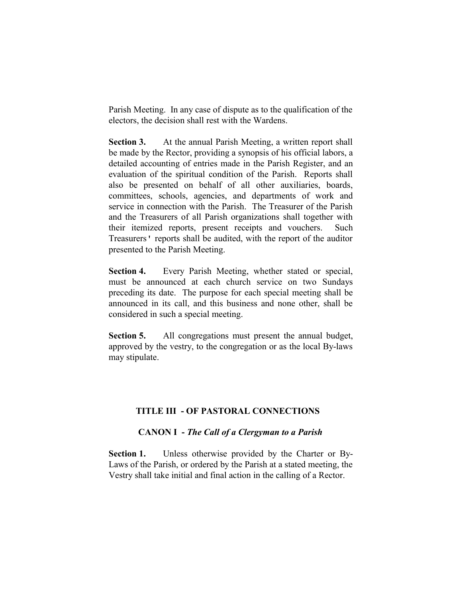Parish Meeting. In any case of dispute as to the qualification of the electors, the decision shall rest with the Wardens.

**Section 3.** At the annual Parish Meeting, a written report shall be made by the Rector, providing a synopsis of his official labors, a detailed accounting of entries made in the Parish Register, and an evaluation of the spiritual condition of the Parish. Reports shall also be presented on behalf of all other auxiliaries, boards, committees, schools, agencies, and departments of work and service in connection with the Parish. The Treasurer of the Parish and the Treasurers of all Parish organizations shall together with their itemized reports, present receipts and vouchers. Such Treasurers' reports shall be audited, with the report of the auditor presented to the Parish Meeting.

**Section 4.** Every Parish Meeting, whether stated or special, must be announced at each church service on two Sundays preceding its date. The purpose for each special meeting shall be announced in its call, and this business and none other, shall be considered in such a special meeting.

**Section 5.** All congregations must present the annual budget, approved by the vestry, to the congregation or as the local By-laws may stipulate.

## **TITLE III - OF PASTORAL CONNECTIONS**

#### **CANON I -** *The Call of a Clergyman to a Parish*

**Section 1.** Unless otherwise provided by the Charter or By-Laws of the Parish, or ordered by the Parish at a stated meeting, the Vestry shall take initial and final action in the calling of a Rector.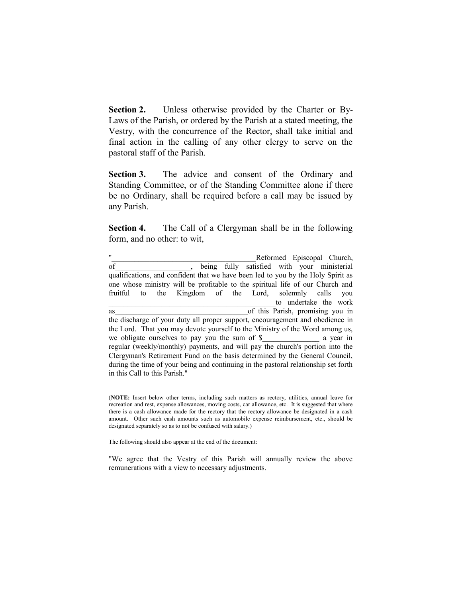**Section 2.** Unless otherwise provided by the Charter or By-Laws of the Parish, or ordered by the Parish at a stated meeting, the Vestry, with the concurrence of the Rector, shall take initial and final action in the calling of any other clergy to serve on the pastoral staff of the Parish.

**Section 3.** The advice and consent of the Ordinary and Standing Committee, or of the Standing Committee alone if there be no Ordinary, shall be required before a call may be issued by any Parish.

**Section 4.** The Call of a Clergyman shall be in the following form, and no other: to wit,

Reformed Episcopal Church, of being fully satisfied with your ministerial qualifications, and confident that we have been led to you by the Holy Spirit as one whose ministry will be profitable to the spiritual life of our Church and fruitful to the Kingdom of the Lord, solemnly calls you to undertake the work as as a contract of this Parish, promising you in the discharge of your duty all proper support, encouragement and obedience in the Lord. That you may devote yourself to the Ministry of the Word among us, we obligate ourselves to pay you the sum of \$ a year in regular (weekly/monthly) payments, and will pay the church's portion into the Clergyman's Retirement Fund on the basis determined by the General Council, during the time of your being and continuing in the pastoral relationship set forth in this Call to this Parish."

(**NOTE:** Insert below other terms, including such matters as rectory, utilities, annual leave for recreation and rest, expense allowances, moving costs, car allowance, etc. It is suggested that where there is a cash allowance made for the rectory that the rectory allowance be designated in a cash amount. Other such cash amounts such as automobile expense reimbursement, etc., should be designated separately so as to not be confused with salary.)

The following should also appear at the end of the document:

"We agree that the Vestry of this Parish will annually review the above remunerations with a view to necessary adjustments.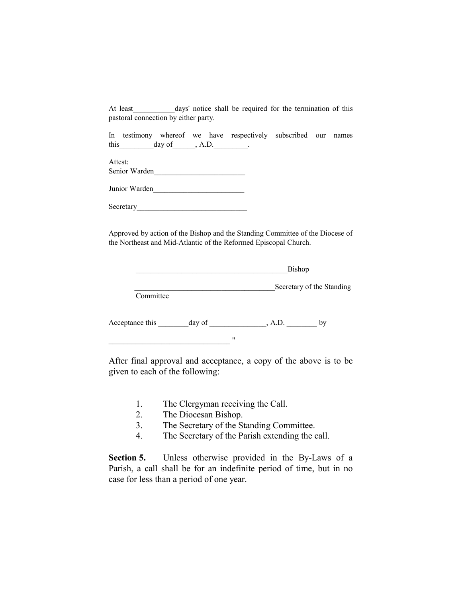At least days' notice shall be required for the termination of this pastoral connection by either party.

In testimony whereof we have respectively subscribed our names this day of  $\qquad \qquad$ , A.D.

Attest: Senior Warden

Junior Warden

Secretary

 $\blacksquare$ 

Approved by action of the Bishop and the Standing Committee of the Diocese of the Northeast and Mid-Atlantic of the Reformed Episcopal Church.

|                 |        | Bishop |                           |  |
|-----------------|--------|--------|---------------------------|--|
| Committee       |        |        | Secretary of the Standing |  |
| Acceptance this | day of | , A.D. | by                        |  |

After final approval and acceptance, a copy of the above is to be given to each of the following:

- 1. The Clergyman receiving the Call.
- 2. The Diocesan Bishop.
- 3. The Secretary of the Standing Committee.
- 4. The Secretary of the Parish extending the call.

**Section 5.** Unless otherwise provided in the By-Laws of a Parish, a call shall be for an indefinite period of time, but in no case for less than a period of one year.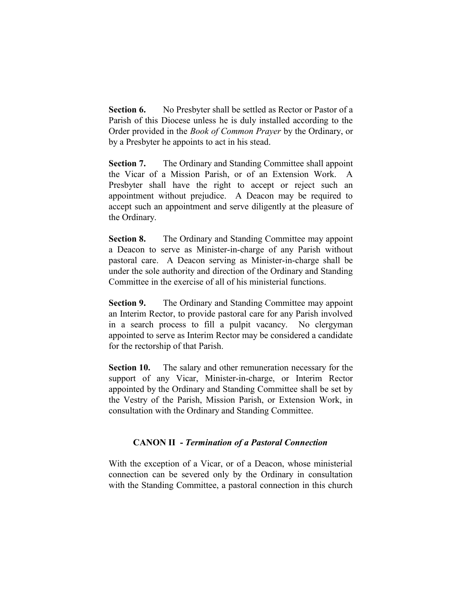**Section 6.** No Presbyter shall be settled as Rector or Pastor of a Parish of this Diocese unless he is duly installed according to the Order provided in the *Book of Common Prayer* by the Ordinary, or by a Presbyter he appoints to act in his stead.

**Section 7.** The Ordinary and Standing Committee shall appoint the Vicar of a Mission Parish, or of an Extension Work. A Presbyter shall have the right to accept or reject such an appointment without prejudice. A Deacon may be required to accept such an appointment and serve diligently at the pleasure of the Ordinary.

**Section 8.** The Ordinary and Standing Committee may appoint a Deacon to serve as Minister-in-charge of any Parish without pastoral care. A Deacon serving as Minister-in-charge shall be under the sole authority and direction of the Ordinary and Standing Committee in the exercise of all of his ministerial functions.

**Section 9.** The Ordinary and Standing Committee may appoint an Interim Rector, to provide pastoral care for any Parish involved in a search process to fill a pulpit vacancy. No clergyman appointed to serve as Interim Rector may be considered a candidate for the rectorship of that Parish.

**Section 10.** The salary and other remuneration necessary for the support of any Vicar, Minister-in-charge, or Interim Rector appointed by the Ordinary and Standing Committee shall be set by the Vestry of the Parish, Mission Parish, or Extension Work, in consultation with the Ordinary and Standing Committee.

## **CANON II -** *Termination of a Pastoral Connection*

With the exception of a Vicar, or of a Deacon, whose ministerial connection can be severed only by the Ordinary in consultation with the Standing Committee, a pastoral connection in this church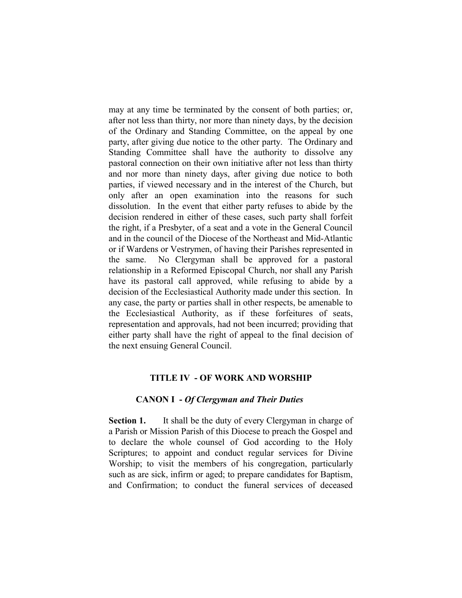may at any time be terminated by the consent of both parties; or, after not less than thirty, nor more than ninety days, by the decision of the Ordinary and Standing Committee, on the appeal by one party, after giving due notice to the other party. The Ordinary and Standing Committee shall have the authority to dissolve any pastoral connection on their own initiative after not less than thirty and nor more than ninety days, after giving due notice to both parties, if viewed necessary and in the interest of the Church, but only after an open examination into the reasons for such dissolution. In the event that either party refuses to abide by the decision rendered in either of these cases, such party shall forfeit the right, if a Presbyter, of a seat and a vote in the General Council and in the council of the Diocese of the Northeast and Mid-Atlantic or if Wardens or Vestrymen, of having their Parishes represented in the same. No Clergyman shall be approved for a pastoral relationship in a Reformed Episcopal Church, nor shall any Parish have its pastoral call approved, while refusing to abide by a decision of the Ecclesiastical Authority made under this section. In any case, the party or parties shall in other respects, be amenable to the Ecclesiastical Authority, as if these forfeitures of seats, representation and approvals, had not been incurred; providing that either party shall have the right of appeal to the final decision of the next ensuing General Council.

#### **TITLE IV - OF WORK AND WORSHIP**

#### **CANON I -** *Of Clergyman and Their Duties*

**Section 1.** It shall be the duty of every Clergyman in charge of a Parish or Mission Parish of this Diocese to preach the Gospel and to declare the whole counsel of God according to the Holy Scriptures; to appoint and conduct regular services for Divine Worship; to visit the members of his congregation, particularly such as are sick, infirm or aged; to prepare candidates for Baptism, and Confirmation; to conduct the funeral services of deceased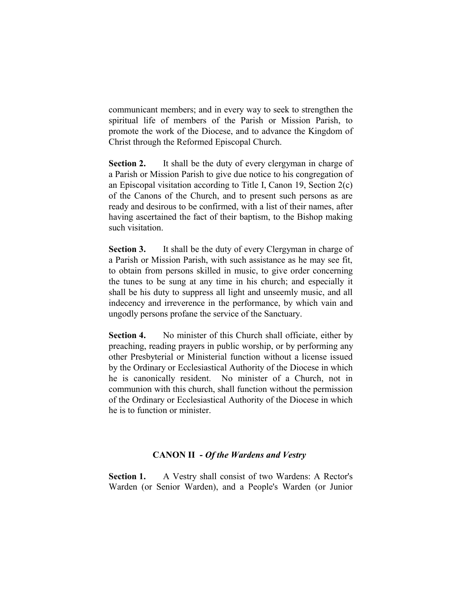communicant members; and in every way to seek to strengthen the spiritual life of members of the Parish or Mission Parish, to promote the work of the Diocese, and to advance the Kingdom of Christ through the Reformed Episcopal Church.

**Section 2.** It shall be the duty of every clergyman in charge of a Parish or Mission Parish to give due notice to his congregation of an Episcopal visitation according to Title I, Canon 19, Section 2(c) of the Canons of the Church, and to present such persons as are ready and desirous to be confirmed, with a list of their names, after having ascertained the fact of their baptism, to the Bishop making such visitation.

**Section 3.** It shall be the duty of every Clergyman in charge of a Parish or Mission Parish, with such assistance as he may see fit, to obtain from persons skilled in music, to give order concerning the tunes to be sung at any time in his church; and especially it shall be his duty to suppress all light and unseemly music, and all indecency and irreverence in the performance, by which vain and ungodly persons profane the service of the Sanctuary.

**Section 4.** No minister of this Church shall officiate, either by preaching, reading prayers in public worship, or by performing any other Presbyterial or Ministerial function without a license issued by the Ordinary or Ecclesiastical Authority of the Diocese in which he is canonically resident. No minister of a Church, not in communion with this church, shall function without the permission of the Ordinary or Ecclesiastical Authority of the Diocese in which he is to function or minister.

#### **CANON II -** *Of the Wardens and Vestry*

Section 1. A Vestry shall consist of two Wardens: A Rector's Warden (or Senior Warden), and a People's Warden (or Junior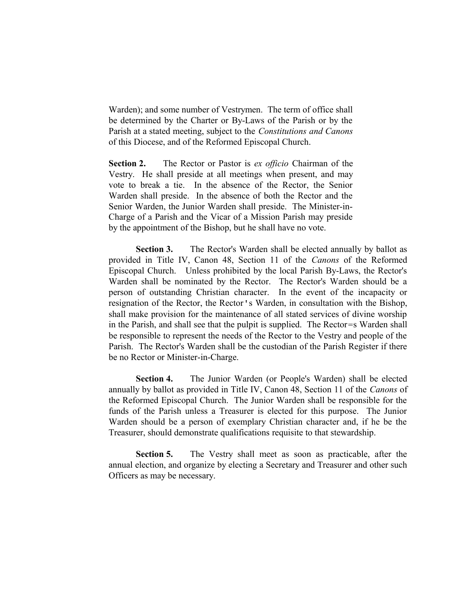Warden); and some number of Vestrymen. The term of office shall be determined by the Charter or By-Laws of the Parish or by the Parish at a stated meeting, subject to the *Constitutions and Canons* of this Diocese, and of the Reformed Episcopal Church.

**Section 2.** The Rector or Pastor is *ex officio* Chairman of the Vestry. He shall preside at all meetings when present, and may vote to break a tie. In the absence of the Rector, the Senior Warden shall preside. In the absence of both the Rector and the Senior Warden, the Junior Warden shall preside. The Minister-in-Charge of a Parish and the Vicar of a Mission Parish may preside by the appointment of the Bishop, but he shall have no vote.

**Section 3.** The Rector's Warden shall be elected annually by ballot as provided in Title IV, Canon 48, Section 11 of the *Canons* of the Reformed Episcopal Church. Unless prohibited by the local Parish By-Laws, the Rector's Warden shall be nominated by the Rector. The Rector's Warden should be a person of outstanding Christian character. In the event of the incapacity or resignation of the Rector, the Rector's Warden, in consultation with the Bishop, shall make provision for the maintenance of all stated services of divine worship in the Parish, and shall see that the pulpit is supplied. The Rector=s Warden shall be responsible to represent the needs of the Rector to the Vestry and people of the Parish. The Rector's Warden shall be the custodian of the Parish Register if there be no Rector or Minister-in-Charge.

**Section 4.** The Junior Warden (or People's Warden) shall be elected annually by ballot as provided in Title IV, Canon 48, Section 11 of the *Canons* of the Reformed Episcopal Church. The Junior Warden shall be responsible for the funds of the Parish unless a Treasurer is elected for this purpose. The Junior Warden should be a person of exemplary Christian character and, if he be the Treasurer, should demonstrate qualifications requisite to that stewardship.

**Section 5.** The Vestry shall meet as soon as practicable, after the annual election, and organize by electing a Secretary and Treasurer and other such Officers as may be necessary.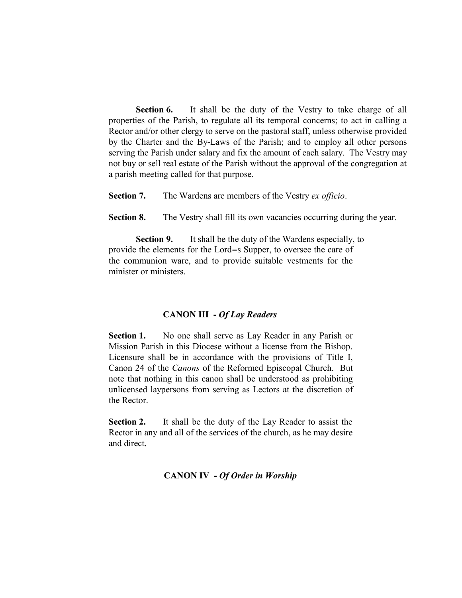**Section 6.** It shall be the duty of the Vestry to take charge of all properties of the Parish, to regulate all its temporal concerns; to act in calling a Rector and/or other clergy to serve on the pastoral staff, unless otherwise provided by the Charter and the By-Laws of the Parish; and to employ all other persons serving the Parish under salary and fix the amount of each salary. The Vestry may not buy or sell real estate of the Parish without the approval of the congregation at a parish meeting called for that purpose.

**Section 7.** The Wardens are members of the Vestry *ex officio*.

**Section 8.** The Vestry shall fill its own vacancies occurring during the year.

**Section 9.** It shall be the duty of the Wardens especially, to provide the elements for the Lord=s Supper, to oversee the care of the communion ware, and to provide suitable vestments for the minister or ministers.

## **CANON III -** *Of Lay Readers*

Section 1. No one shall serve as Lay Reader in any Parish or Mission Parish in this Diocese without a license from the Bishop. Licensure shall be in accordance with the provisions of Title I, Canon 24 of the *Canons* of the Reformed Episcopal Church. But note that nothing in this canon shall be understood as prohibiting unlicensed laypersons from serving as Lectors at the discretion of the Rector.

**Section 2.** It shall be the duty of the Lay Reader to assist the Rector in any and all of the services of the church, as he may desire and direct.

## **CANON IV -** *Of Order in Worship*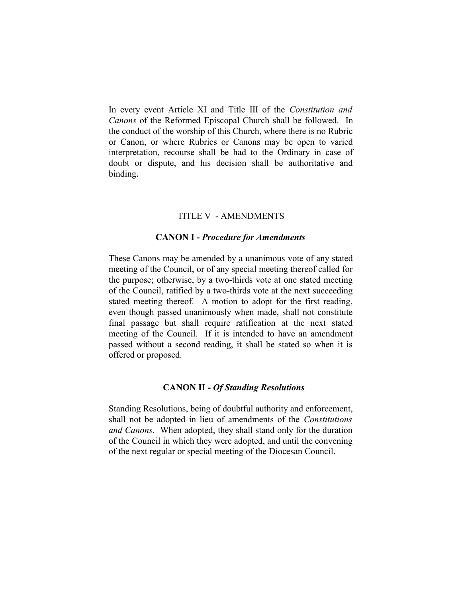In every event Article XI and Title III of the *Constitution and Canons* of the Reformed Episcopal Church shall be followed. In the conduct of the worship of this Church, where there is no Rubric or Canon, or where Rubrics or Canons may be open to varied interpretation, recourse shall be had to the Ordinary in case of doubt or dispute, and his decision shall be authoritative and binding.

#### TITLE V - AMENDMENTS

#### **CANON I -** *Procedure for Amendments*

These Canons may be amended by a unanimous vote of any stated meeting of the Council, or of any special meeting thereof called for the purpose; otherwise, by a two-thirds vote at one stated meeting of the Council, ratified by a two-thirds vote at the next succeeding stated meeting thereof. A motion to adopt for the first reading, even though passed unanimously when made, shall not constitute final passage but shall require ratification at the next stated meeting of the Council. If it is intended to have an amendment passed without a second reading, it shall be stated so when it is offered or proposed.

#### **CANON II -** *Of Standing Resolutions*

Standing Resolutions, being of doubtful authority and enforcement, shall not be adopted in lieu of amendments of the *Constitutions and Canons*. When adopted, they shall stand only for the duration of the Council in which they were adopted, and until the convening of the next regular or special meeting of the Diocesan Council.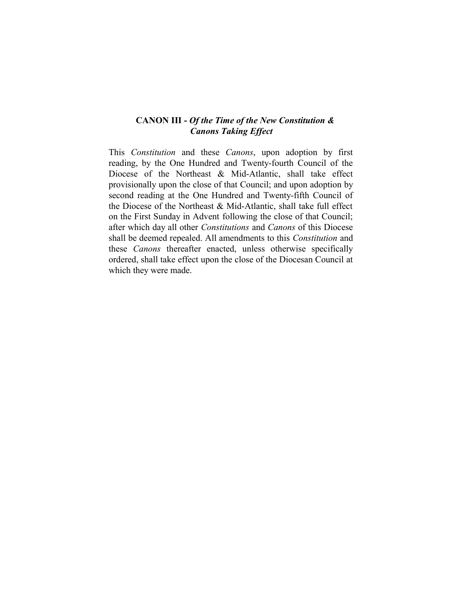## **CANON III -** *Of the Time of the New Constitution & Canons Taking Effect*

This *Constitution* and these *Canons*, upon adoption by first reading, by the One Hundred and Twenty-fourth Council of the Diocese of the Northeast & Mid-Atlantic, shall take effect provisionally upon the close of that Council; and upon adoption by second reading at the One Hundred and Twenty-fifth Council of the Diocese of the Northeast & Mid-Atlantic, shall take full effect on the First Sunday in Advent following the close of that Council; after which day all other *Constitutions* and *Canons* of this Diocese shall be deemed repealed. All amendments to this *Constitution* and these *Canons* thereafter enacted, unless otherwise specifically ordered, shall take effect upon the close of the Diocesan Council at which they were made.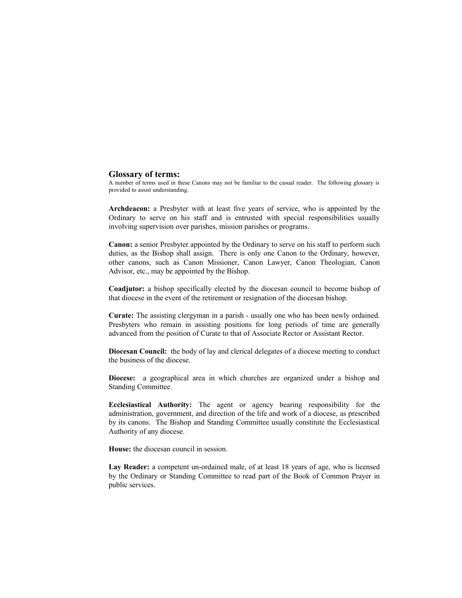#### **Glossary of terms:**

A number of terms used in these Canons may not be familiar to the casual reader. The following glossary is provided to assist understanding.

**Archdeacon:** a Presbyter with at least five years of service, who is appointed by the Ordinary to serve on his staff and is entrusted with special responsibilities usually involving supervision over parishes, mission parishes or programs.

**Canon:** a senior Presbyter appointed by the Ordinary to serve on his staff to perform such duties, as the Bishop shall assign. There is only one Canon to the Ordinary, however, other canons, such as Canon Missioner, Canon Lawyer, Canon Theologian, Canon Advisor, etc., may be appointed by the Bishop.

**Coadjutor:** a bishop specifically elected by the diocesan council to become bishop of that diocese in the event of the retirement or resignation of the diocesan bishop.

**Curate:** The assisting clergyman in a parish - usually one who has been newly ordained. Presbyters who remain in assisting positions for long periods of time are generally advanced from the position of Curate to that of Associate Rector or Assistant Rector.

**Diocesan Council:** the body of lay and clerical delegates of a diocese meeting to conduct the business of the diocese.

**Diocese:** a geographical area in which churches are organized under a bishop and Standing Committee.

**Ecclesiastical Authority:** The agent or agency bearing responsibility for the administration, government, and direction of the life and work of a diocese, as prescribed by its canons. The Bishop and Standing Committee usually constitute the Ecclesiastical Authority of any diocese.

**House:** the diocesan council in session.

**Lay Reader:** a competent un-ordained male, of at least 18 years of age, who is licensed by the Ordinary or Standing Committee to read part of the Book of Common Prayer in public services.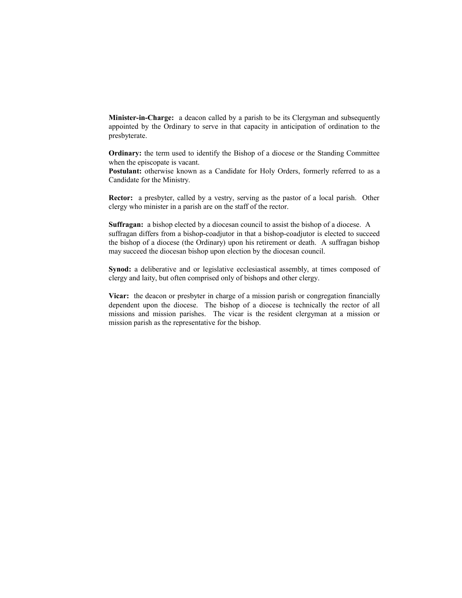**Minister-in-Charge:** a deacon called by a parish to be its Clergyman and subsequently appointed by the Ordinary to serve in that capacity in anticipation of ordination to the presbyterate.

**Ordinary:** the term used to identify the Bishop of a diocese or the Standing Committee when the episcopate is vacant.

**Postulant:** otherwise known as a Candidate for Holy Orders, formerly referred to as a Candidate for the Ministry.

**Rector:** a presbyter, called by a vestry, serving as the pastor of a local parish. Other clergy who minister in a parish are on the staff of the rector.

**Suffragan:** a bishop elected by a diocesan council to assist the bishop of a diocese. A suffragan differs from a bishop-coadjutor in that a bishop-coadjutor is elected to succeed the bishop of a diocese (the Ordinary) upon his retirement or death. A suffragan bishop may succeed the diocesan bishop upon election by the diocesan council.

**Synod:** a deliberative and or legislative ecclesiastical assembly, at times composed of clergy and laity, but often comprised only of bishops and other clergy.

**Vicar:** the deacon or presbyter in charge of a mission parish or congregation financially dependent upon the diocese. The bishop of a diocese is technically the rector of all missions and mission parishes. The vicar is the resident clergyman at a mission or mission parish as the representative for the bishop.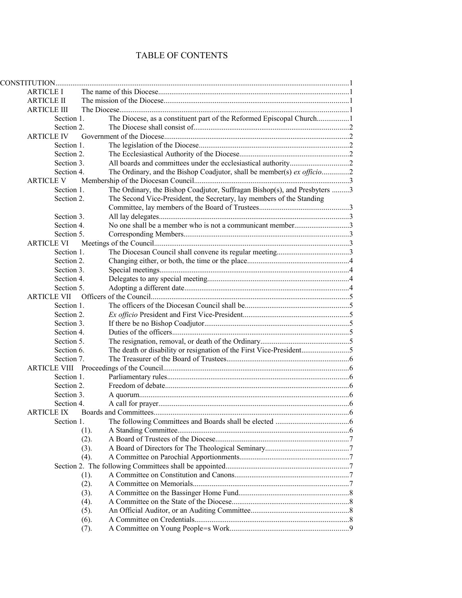## TABLE OF CONTENTS

| <b>ARTICLE I</b>    |            |      |                                                                           |  |
|---------------------|------------|------|---------------------------------------------------------------------------|--|
| <b>ARTICLE II</b>   |            |      |                                                                           |  |
| <b>ARTICLE III</b>  |            |      |                                                                           |  |
|                     | Section 1. |      | The Diocese, as a constituent part of the Reformed Episcopal Church1      |  |
|                     | Section 2. |      |                                                                           |  |
| <b>ARTICLE IV</b>   |            |      |                                                                           |  |
|                     | Section 1. |      |                                                                           |  |
|                     | Section 2. |      |                                                                           |  |
|                     | Section 3. |      |                                                                           |  |
|                     | Section 4. |      | The Ordinary, and the Bishop Coadjutor, shall be member(s) ex officio2    |  |
| <b>ARTICLE V</b>    |            |      |                                                                           |  |
|                     | Section 1. |      | The Ordinary, the Bishop Coadjutor, Suffragan Bishop(s), and Presbyters 3 |  |
|                     | Section 2. |      | The Second Vice-President, the Secretary, lay members of the Standing     |  |
|                     |            |      |                                                                           |  |
|                     | Section 3. |      |                                                                           |  |
|                     | Section 4. |      | No one shall be a member who is not a communicant member3                 |  |
|                     | Section 5. |      |                                                                           |  |
| <b>ARTICLE VI</b>   |            |      |                                                                           |  |
|                     | Section 1. |      |                                                                           |  |
|                     | Section 2. |      |                                                                           |  |
|                     | Section 3. |      |                                                                           |  |
|                     | Section 4. |      |                                                                           |  |
|                     | Section 5. |      |                                                                           |  |
| <b>ARTICLE VII</b>  |            |      |                                                                           |  |
|                     | Section 1. |      |                                                                           |  |
|                     | Section 2. |      |                                                                           |  |
|                     | Section 3. |      |                                                                           |  |
|                     | Section 4. |      |                                                                           |  |
|                     | Section 5. |      |                                                                           |  |
|                     | Section 6. |      |                                                                           |  |
|                     | Section 7. |      |                                                                           |  |
| <b>ARTICLE VIII</b> |            |      |                                                                           |  |
|                     | Section 1. |      |                                                                           |  |
|                     | Section 2. |      |                                                                           |  |
|                     | Section 3. |      |                                                                           |  |
|                     | Section 4. |      |                                                                           |  |
| <b>ARTICLE IX</b>   |            |      |                                                                           |  |
|                     | Section 1. |      |                                                                           |  |
|                     |            | (1). |                                                                           |  |
|                     |            | (2). |                                                                           |  |
|                     |            | (3). |                                                                           |  |
|                     |            | (4). |                                                                           |  |
|                     |            |      |                                                                           |  |
|                     |            | (1). |                                                                           |  |
|                     |            | (2). |                                                                           |  |
|                     |            | (3). |                                                                           |  |
|                     |            | (4). |                                                                           |  |
|                     |            | (5). |                                                                           |  |
|                     |            | (6). |                                                                           |  |
|                     |            | (7). |                                                                           |  |
|                     |            |      |                                                                           |  |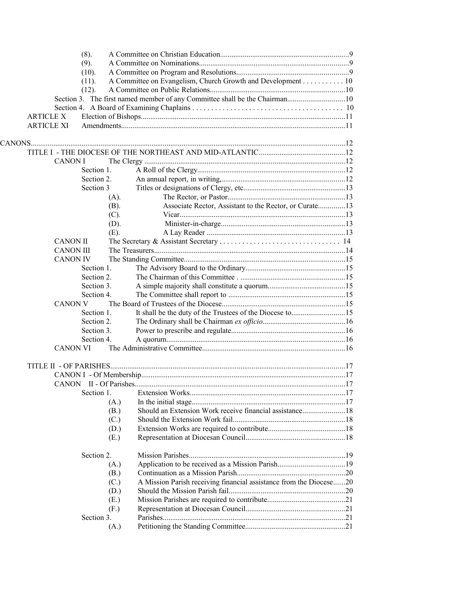|                   |                  | (8).       |      |                                                                    |  |
|-------------------|------------------|------------|------|--------------------------------------------------------------------|--|
|                   |                  | (9).       |      |                                                                    |  |
|                   |                  | (10).      |      |                                                                    |  |
|                   |                  | (11).      |      | A Committee on Evangelism, Church Growth and Development 10        |  |
|                   |                  | (12).      |      |                                                                    |  |
|                   |                  |            |      |                                                                    |  |
|                   |                  |            |      |                                                                    |  |
| <b>ARTICLE X</b>  |                  |            |      |                                                                    |  |
| <b>ARTICLE XI</b> |                  |            |      |                                                                    |  |
|                   |                  |            |      |                                                                    |  |
|                   |                  |            |      |                                                                    |  |
|                   |                  |            |      |                                                                    |  |
|                   | <b>CANON I</b>   |            |      |                                                                    |  |
|                   |                  | Section 1. |      |                                                                    |  |
|                   |                  | Section 2. |      |                                                                    |  |
|                   |                  | Section 3  |      |                                                                    |  |
|                   |                  |            | (A). |                                                                    |  |
|                   |                  |            | (B). | Associate Rector, Assistant to the Rector, or Curate13             |  |
|                   |                  |            | (C). |                                                                    |  |
|                   |                  |            | (D). |                                                                    |  |
|                   |                  |            | (E). |                                                                    |  |
|                   | <b>CANON II</b>  |            |      |                                                                    |  |
|                   | <b>CANON III</b> |            |      |                                                                    |  |
|                   | <b>CANON IV</b>  |            |      |                                                                    |  |
|                   |                  | Section 1. |      |                                                                    |  |
|                   |                  | Section 2. |      |                                                                    |  |
|                   |                  | Section 3. |      |                                                                    |  |
|                   |                  | Section 4. |      |                                                                    |  |
|                   | <b>CANON V</b>   |            |      |                                                                    |  |
|                   |                  | Section 1. |      | It shall be the duty of the Trustees of the Diocese to15           |  |
|                   |                  | Section 2. |      |                                                                    |  |
|                   |                  | Section 3. |      |                                                                    |  |
|                   |                  | Section 4. |      |                                                                    |  |
|                   | <b>CANON VI</b>  |            |      |                                                                    |  |
|                   |                  |            |      |                                                                    |  |
|                   |                  |            |      |                                                                    |  |
|                   |                  |            |      |                                                                    |  |
|                   |                  |            |      |                                                                    |  |
|                   |                  | Section 1. |      |                                                                    |  |
|                   |                  |            |      |                                                                    |  |
|                   |                  |            | (A.) | Should an Extension Work receive financial assistance18            |  |
|                   |                  |            | (B.) |                                                                    |  |
|                   |                  |            | (C.) |                                                                    |  |
|                   |                  |            | (D.) |                                                                    |  |
|                   |                  |            | (E.) |                                                                    |  |
|                   |                  |            |      |                                                                    |  |
|                   |                  | Section 2. |      |                                                                    |  |
|                   |                  |            | (A.) |                                                                    |  |
|                   |                  |            | (B.) |                                                                    |  |
|                   |                  |            | (C.) | A Mission Parish receiving financial assistance from the Diocese20 |  |
|                   |                  |            | (D.) |                                                                    |  |
|                   |                  |            | (E.) |                                                                    |  |
|                   |                  |            | (F.) |                                                                    |  |
|                   |                  | Section 3. |      |                                                                    |  |
|                   |                  |            | (A.) |                                                                    |  |
|                   |                  |            |      |                                                                    |  |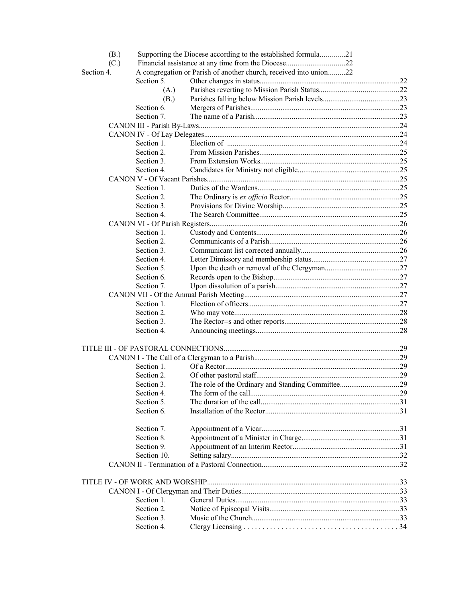| (B.)       |             | Supporting the Diocese according to the established formula21     |  |  |  |
|------------|-------------|-------------------------------------------------------------------|--|--|--|
| (C.)       |             |                                                                   |  |  |  |
| Section 4. |             | A congregation or Parish of another church, received into union22 |  |  |  |
|            | Section 5.  |                                                                   |  |  |  |
|            | (A.)        |                                                                   |  |  |  |
|            | (B.)        |                                                                   |  |  |  |
|            | Section 6.  |                                                                   |  |  |  |
|            | Section 7.  |                                                                   |  |  |  |
|            |             |                                                                   |  |  |  |
|            |             |                                                                   |  |  |  |
|            | Section 1.  |                                                                   |  |  |  |
|            | Section 2.  |                                                                   |  |  |  |
|            | Section 3.  |                                                                   |  |  |  |
|            | Section 4.  |                                                                   |  |  |  |
|            |             |                                                                   |  |  |  |
|            | Section 1.  |                                                                   |  |  |  |
|            | Section 2.  |                                                                   |  |  |  |
|            | Section 3.  |                                                                   |  |  |  |
|            | Section 4.  |                                                                   |  |  |  |
|            |             |                                                                   |  |  |  |
|            |             |                                                                   |  |  |  |
|            | Section 1.  |                                                                   |  |  |  |
|            | Section 2.  |                                                                   |  |  |  |
|            | Section 3.  |                                                                   |  |  |  |
|            | Section 4.  |                                                                   |  |  |  |
|            | Section 5.  |                                                                   |  |  |  |
|            | Section 6.  |                                                                   |  |  |  |
|            | Section 7.  |                                                                   |  |  |  |
|            |             |                                                                   |  |  |  |
|            | Section 1.  |                                                                   |  |  |  |
|            | Section 2.  |                                                                   |  |  |  |
|            | Section 3.  |                                                                   |  |  |  |
|            | Section 4.  |                                                                   |  |  |  |
|            |             |                                                                   |  |  |  |
|            |             |                                                                   |  |  |  |
|            | Section 1.  |                                                                   |  |  |  |
|            | Section 2.  |                                                                   |  |  |  |
|            | Section 3.  |                                                                   |  |  |  |
|            | Section 4.  |                                                                   |  |  |  |
|            | Section 5.  |                                                                   |  |  |  |
|            | Section 6.  |                                                                   |  |  |  |
|            | Section 7.  |                                                                   |  |  |  |
|            | Section 8.  |                                                                   |  |  |  |
|            | Section 9.  |                                                                   |  |  |  |
|            | Section 10. |                                                                   |  |  |  |
|            |             |                                                                   |  |  |  |
|            |             |                                                                   |  |  |  |
|            |             |                                                                   |  |  |  |
|            |             |                                                                   |  |  |  |
|            | Section 1.  |                                                                   |  |  |  |
|            | Section 2.  |                                                                   |  |  |  |
|            | Section 3.  |                                                                   |  |  |  |
|            | Section 4.  |                                                                   |  |  |  |
|            |             |                                                                   |  |  |  |